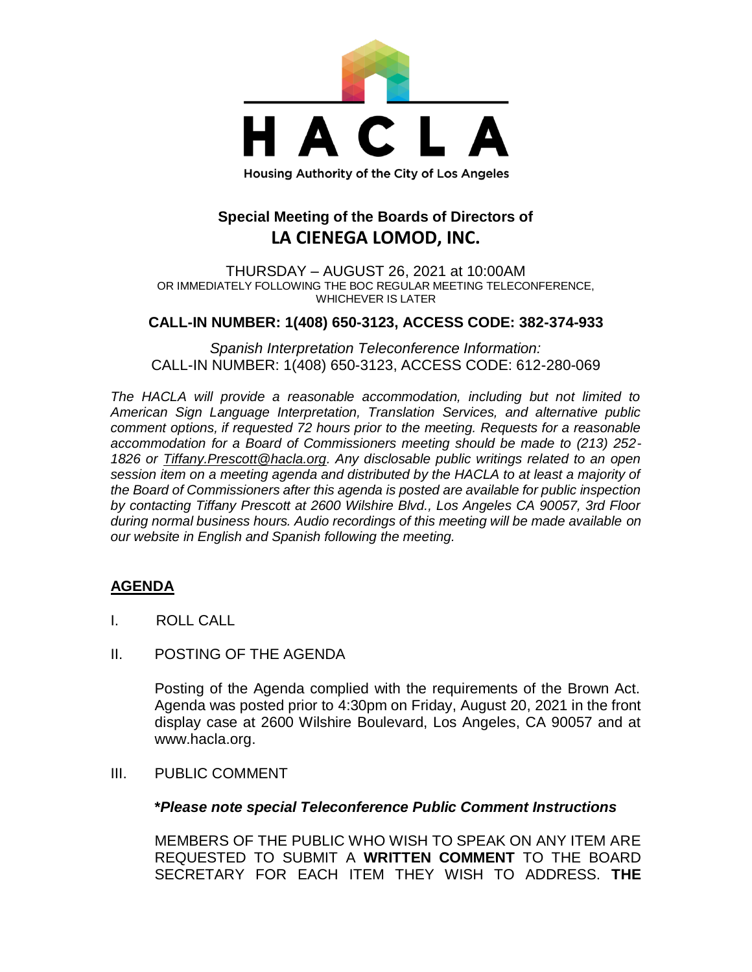

# **Special Meeting of the Boards of Directors of LA CIENEGA LOMOD, INC.**

THURSDAY – AUGUST 26, 2021 at 10:00AM OR IMMEDIATELY FOLLOWING THE BOC REGULAR MEETING TELECONFERENCE, WHICHEVER IS LATER

### **CALL-IN NUMBER: 1(408) 650-3123, ACCESS CODE: 382-374-933**

*Spanish Interpretation Teleconference Information:* CALL-IN NUMBER: 1(408) 650-3123, ACCESS CODE: 612-280-069

*The HACLA will provide a reasonable accommodation, including but not limited to American Sign Language Interpretation, Translation Services, and alternative public comment options, if requested 72 hours prior to the meeting. Requests for a reasonable accommodation for a Board of Commissioners meeting should be made to (213) 252- 1826 or Tiffany.Prescott@hacla.org. Any disclosable public writings related to an open session item on a meeting agenda and distributed by the HACLA to at least a majority of the Board of Commissioners after this agenda is posted are available for public inspection by contacting Tiffany Prescott at 2600 Wilshire Blvd., Los Angeles CA 90057, 3rd Floor during normal business hours. Audio recordings of this meeting will be made available on our website in English and Spanish following the meeting.*

## **AGENDA**

- I. ROLL CALL
- II. POSTING OF THE AGENDA

Posting of the Agenda complied with the requirements of the Brown Act. Agenda was posted prior to 4:30pm on Friday, August 20, 2021 in the front display case at 2600 Wilshire Boulevard, Los Angeles, CA 90057 and at www.hacla.org.

#### III. PUBLIC COMMENT

#### **\****Please note special Teleconference Public Comment Instructions*

MEMBERS OF THE PUBLIC WHO WISH TO SPEAK ON ANY ITEM ARE REQUESTED TO SUBMIT A **WRITTEN COMMENT** TO THE BOARD SECRETARY FOR EACH ITEM THEY WISH TO ADDRESS. **THE**